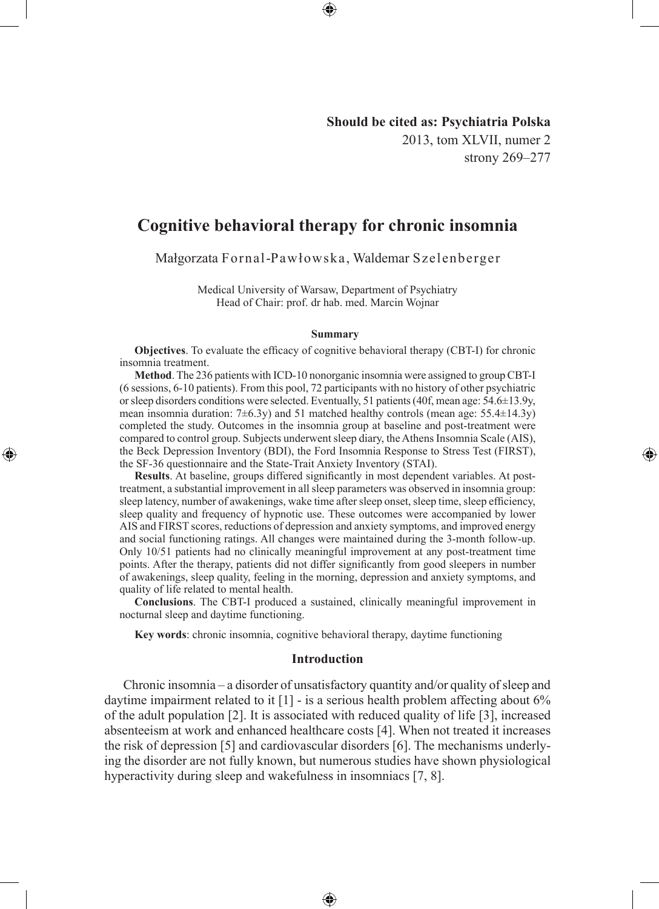**Should be cited as: Psychiatria Polska** 2013, tom XLVII, numer 2 strony 269–277

◈

# **Cognitive behavioral therapy for chronic insomnia**

Małgorzata Fornal-Pawłowska, Waldemar Szelenberger

Medical University of Warsaw, Department of Psychiatry Head of Chair: prof. dr hab. med. Marcin Wojnar

#### **Summary**

**Objectives**. To evaluate the efficacy of cognitive behavioral therapy (CBT-I) for chronic insomnia treatment.

**Method**. The 236 patients with ICD-10 nonorganic insomnia were assigned to group CBT-I (6 sessions, 6-10 patients). From this pool, 72 participants with no history of other psychiatric or sleep disorders conditions were selected. Eventually, 51 patients (40f, mean age:  $54.6\pm13.9y$ , mean insomnia duration:  $7\pm6.3y$ ) and 51 matched healthy controls (mean age: 55.4 $\pm$ 14.3y) completed the study. Outcomes in the insomnia group at baseline and post-treatment were compared to control group. Subjects underwent sleep diary, the Athens Insomnia Scale (AIS), the Beck Depression Inventory (BDI), the Ford Insomnia Response to Stress Test (FIRST), the SF-36 questionnaire and the State-Trait Anxiety Inventory (STAI).

◈

**Results**. At baseline, groups differed significantly in most dependent variables. At posttreatment, a substantial improvement in all sleep parameters was observed in insomnia group: sleep latency, number of awakenings, wake time after sleep onset, sleep time, sleep efficiency, sleep quality and frequency of hypnotic use. These outcomes were accompanied by lower AIS and FIRST scores, reductions of depression and anxiety symptoms, and improved energy and social functioning ratings. All changes were maintained during the 3-month follow-up. Only 10/51 patients had no clinically meaningful improvement at any post-treatment time points. After the therapy, patients did not differ significantly from good sleepers in number of awakenings, sleep quality, feeling in the morning, depression and anxiety symptoms, and quality of life related to mental health.

**Conclusions**. The CBT-I produced a sustained, clinically meaningful improvement in nocturnal sleep and daytime functioning.

**Key words**: chronic insomnia, cognitive behavioral therapy, daytime functioning

#### **Introduction**

Chronic insomnia – a disorder of unsatisfactory quantity and/or quality of sleep and daytime impairment related to it [1] - is a serious health problem affecting about 6% of the adult population [2]. It is associated with reduced quality of life [3], increased absenteeism at work and enhanced healthcare costs [4]. When not treated it increases the risk of depression [5] and cardiovascular disorders [6]. The mechanisms underlying the disorder are not fully known, but numerous studies have shown physiological hyperactivity during sleep and wakefulness in insomniacs [7, 8].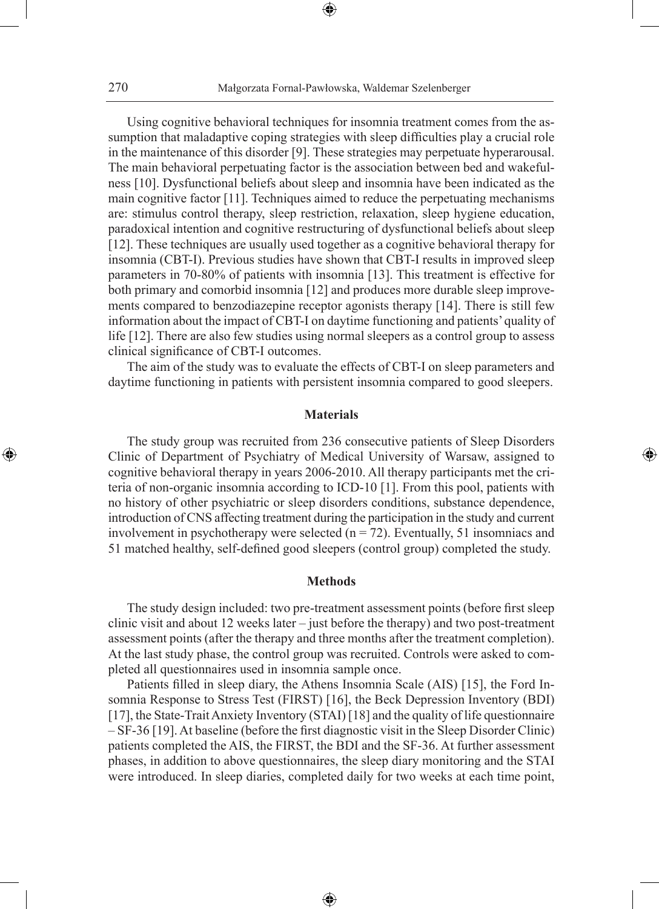⊕

Using cognitive behavioral techniques for insomnia treatment comes from the assumption that maladaptive coping strategies with sleep difficulties play a crucial role in the maintenance of this disorder [9]. These strategies may perpetuate hyperarousal. The main behavioral perpetuating factor is the association between bed and wakefulness [10]. Dysfunctional beliefs about sleep and insomnia have been indicated as the main cognitive factor [11]. Techniques aimed to reduce the perpetuating mechanisms are: stimulus control therapy, sleep restriction, relaxation, sleep hygiene education, paradoxical intention and cognitive restructuring of dysfunctional beliefs about sleep [12]. These techniques are usually used together as a cognitive behavioral therapy for insomnia (CBT-I). Previous studies have shown that CBT-I results in improved sleep parameters in 70-80% of patients with insomnia [13]. This treatment is effective for both primary and comorbid insomnia [12] and produces more durable sleep improvements compared to benzodiazepine receptor agonists therapy [14]. There is still few information about the impact of CBT-I on daytime functioning and patients' quality of life [12]. There are also few studies using normal sleepers as a control group to assess clinical significance of CBT-I outcomes.

The aim of the study was to evaluate the effects of CBT-I on sleep parameters and daytime functioning in patients with persistent insomnia compared to good sleepers.

# **Materials**

◈

The study group was recruited from 236 consecutive patients of Sleep Disorders Clinic of Department of Psychiatry of Medical University of Warsaw, assigned to cognitive behavioral therapy in years 2006-2010. All therapy participants met the criteria of non-organic insomnia according to ICD-10 [1]. From this pool, patients with no history of other psychiatric or sleep disorders conditions, substance dependence, introduction of CNS affecting treatment during the participation in the study and current involvement in psychotherapy were selected  $(n = 72)$ . Eventually, 51 insomniacs and 51 matched healthy, self-defined good sleepers (control group) completed the study.

## **Methods**

The study design included: two pre-treatment assessment points (before first sleep clinic visit and about 12 weeks later – just before the therapy) and two post-treatment assessment points (after the therapy and three months after the treatment completion). At the last study phase, the control group was recruited. Controls were asked to completed all questionnaires used in insomnia sample once.

Patients filled in sleep diary, the Athens Insomnia Scale (AIS) [15], the Ford Insomnia Response to Stress Test (FIRST) [16], the Beck Depression Inventory (BDI) [17], the State-Trait Anxiety Inventory (STAI) [18] and the quality of life questionnaire – SF-36 [19]. At baseline (before the first diagnostic visit in the Sleep Disorder Clinic) patients completed the AIS, the FIRST, the BDI and the SF-36. At further assessment phases, in addition to above questionnaires, the sleep diary monitoring and the STAI were introduced. In sleep diaries, completed daily for two weeks at each time point,

⊕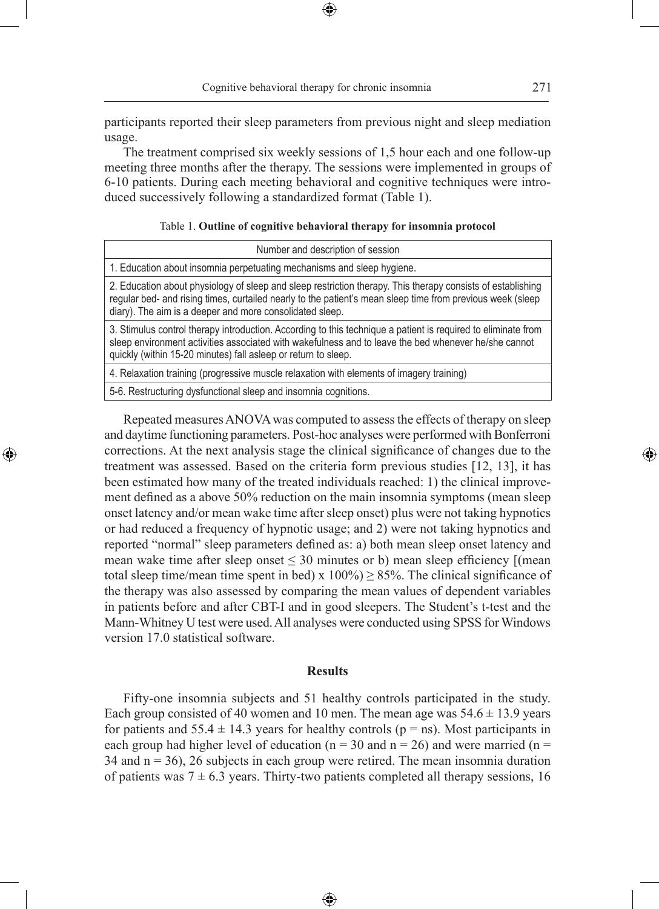participants reported their sleep parameters from previous night and sleep mediation usage.

⊕

The treatment comprised six weekly sessions of 1,5 hour each and one follow-up meeting three months after the therapy. The sessions were implemented in groups of 6-10 patients. During each meeting behavioral and cognitive techniques were introduced successively following a standardized format (Table 1).

| Table 1. Outline of cognitive behavioral therapy for insomnia protocol |  |  |  |  |  |  |
|------------------------------------------------------------------------|--|--|--|--|--|--|
|------------------------------------------------------------------------|--|--|--|--|--|--|

| Number and description of session                                                                                                                                                                                                                                                       |  |  |  |  |  |  |
|-----------------------------------------------------------------------------------------------------------------------------------------------------------------------------------------------------------------------------------------------------------------------------------------|--|--|--|--|--|--|
| 1. Education about insomnia perpetuating mechanisms and sleep hygiene.                                                                                                                                                                                                                  |  |  |  |  |  |  |
| 2. Education about physiology of sleep and sleep restriction therapy. This therapy consists of establishing<br>regular bed- and rising times, curtailed nearly to the patient's mean sleep time from previous week (sleep<br>diary). The aim is a deeper and more consolidated sleep.   |  |  |  |  |  |  |
| 3. Stimulus control therapy introduction. According to this technique a patient is required to eliminate from<br>sleep environment activities associated with wakefulness and to leave the bed whenever he/she cannot<br>quickly (within 15-20 minutes) fall asleep or return to sleep. |  |  |  |  |  |  |
| 4. Relaxation training (progressive muscle relaxation with elements of imagery training)                                                                                                                                                                                                |  |  |  |  |  |  |
| 5-6. Restructuring dysfunctional sleep and insomnia cognitions.                                                                                                                                                                                                                         |  |  |  |  |  |  |

Repeated measures ANOVA was computed to assess the effects of therapy on sleep and daytime functioning parameters. Post-hoc analyses were performed with Bonferroni corrections. At the next analysis stage the clinical significance of changes due to the treatment was assessed. Based on the criteria form previous studies [12, 13], it has been estimated how many of the treated individuals reached: 1) the clinical improvement defined as a above 50% reduction on the main insomnia symptoms (mean sleep onset latency and/or mean wake time after sleep onset) plus were not taking hypnotics or had reduced a frequency of hypnotic usage; and 2) were not taking hypnotics and reported "normal" sleep parameters defined as: a) both mean sleep onset latency and mean wake time after sleep onset  $\leq$  30 minutes or b) mean sleep efficiency [(mean total sleep time/mean time spent in bed) x  $100\%$   $\geq$  85%. The clinical significance of the therapy was also assessed by comparing the mean values of dependent variables in patients before and after CBT-I and in good sleepers. The Student's t-test and the Mann-Whitney U test were used. All analyses were conducted using SPSS for Windows version 17.0 statistical software.

◈

### **Results**

Fifty-one insomnia subjects and 51 healthy controls participated in the study. Each group consisted of 40 women and 10 men. The mean age was  $54.6 \pm 13.9$  years for patients and  $55.4 \pm 14.3$  years for healthy controls ( $p = ns$ ). Most participants in each group had higher level of education ( $n = 30$  and  $n = 26$ ) and were married ( $n =$  $34$  and  $n = 36$ ),  $26$  subjects in each group were retired. The mean insomnia duration of patients was  $7 \pm 6.3$  years. Thirty-two patients completed all therapy sessions, 16

⊕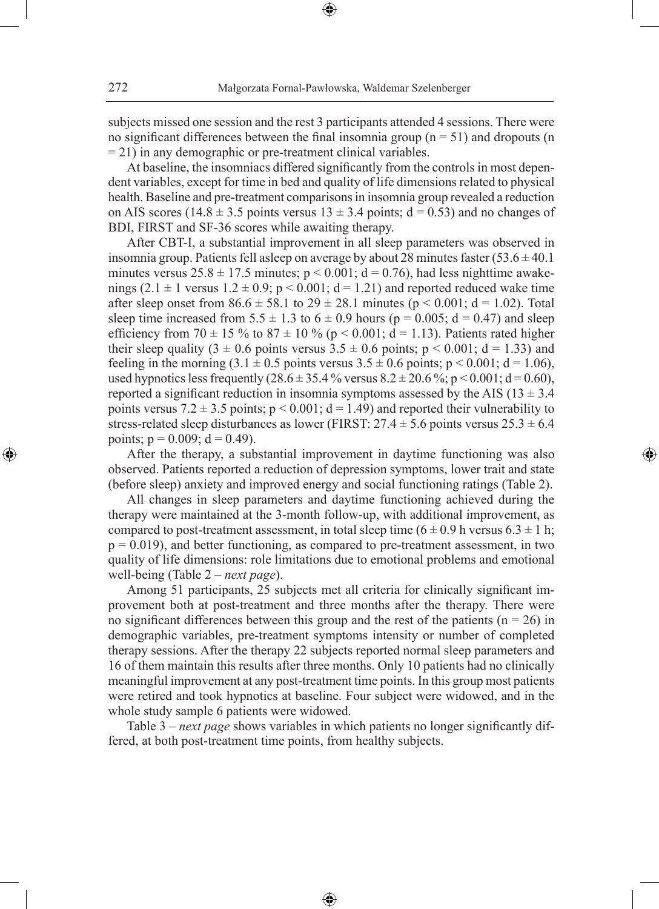subjects missed one session and the rest 3 participants attended 4 sessions. There were no significant differences between the final insomnia group ( $n = 51$ ) and dropouts (n  $= 21$ ) in any demographic or pre-treatment clinical variables.

⊕

At baseline, the insomniacs differed significantly from the controls in most dependent variables, except for time in bed and quality of life dimensions related to physical health. Baseline and pre-treatment comparisons in insomnia group revealed a reduction on AIS scores (14.8  $\pm$  3.5 points versus 13  $\pm$  3.4 points; d = 0.53) and no changes of BDI, FIRST and SF-36 scores while awaiting therapy.

After CBT-I, a substantial improvement in all sleep parameters was observed in insomnia group. Patients fell asleep on average by about 28 minutes faster  $(53.6 \pm 40.1)$ minutes versus  $25.8 \pm 17.5$  minutes;  $p < 0.001$ ;  $d = 0.76$ ), had less nighttime awakenings (2.1  $\pm$  1 versus 1.2  $\pm$  0.9; p < 0.001; d = 1.21) and reported reduced wake time after sleep onset from  $86.6 \pm 58.1$  to  $29 \pm 28.1$  minutes ( $p < 0.001$ ; d = 1.02). Total sleep time increased from  $5.5 \pm 1.3$  to  $6 \pm 0.9$  hours (p = 0.005; d = 0.47) and sleep efficiency from 70  $\pm$  15 % to 87  $\pm$  10 % (p < 0.001; d = 1.13). Patients rated higher their sleep quality (3  $\pm$  0.6 points versus 3.5  $\pm$  0.6 points; p < 0.001; d = 1.33) and feeling in the morning  $(3.1 \pm 0.5 \text{ points} \text{ versus } 3.5 \pm 0.6 \text{ points}; p < 0.001; d = 1.06)$ , used hypnotics less frequently  $(28.6 \pm 35.4\%$  versus  $8.2 \pm 20.6\%$ ; p < 0.001; d = 0.60), reported a significant reduction in insomnia symptoms assessed by the AIS ( $13 \pm 3.4$ ) points versus 7.2  $\pm$  3.5 points; p < 0.001; d = 1.49) and reported their vulnerability to stress-related sleep disturbances as lower (FIRST:  $27.4 \pm 5.6$  points versus  $25.3 \pm 6.4$ points;  $p = 0.009$ ;  $d = 0.49$ ).

After the therapy, a substantial improvement in daytime functioning was also observed. Patients reported a reduction of depression symptoms, lower trait and state (before sleep) anxiety and improved energy and social functioning ratings (Table 2).

◈

All changes in sleep parameters and daytime functioning achieved during the therapy were maintained at the 3-month follow-up, with additional improvement, as compared to post-treatment assessment, in total sleep time  $(6 \pm 0.9 \text{ h} \text{ versus } 6.3 \pm 1 \text{ h};$  $p = 0.019$ ), and better functioning, as compared to pre-treatment assessment, in two quality of life dimensions: role limitations due to emotional problems and emotional well-being (Table 2 – *next page*).

Among 51 participants, 25 subjects met all criteria for clinically significant improvement both at post-treatment and three months after the therapy. There were no significant differences between this group and the rest of the patients ( $n = 26$ ) in demographic variables, pre-treatment symptoms intensity or number of completed therapy sessions. After the therapy 22 subjects reported normal sleep parameters and 16 of them maintain this results after three months. Only 10 patients had no clinically meaningful improvement at any post-treatment time points. In this group most patients were retired and took hypnotics at baseline. Four subject were widowed, and in the whole study sample 6 patients were widowed.

Table 3 – *next page* shows variables in which patients no longer significantly differed, at both post-treatment time points, from healthy subjects.

⊕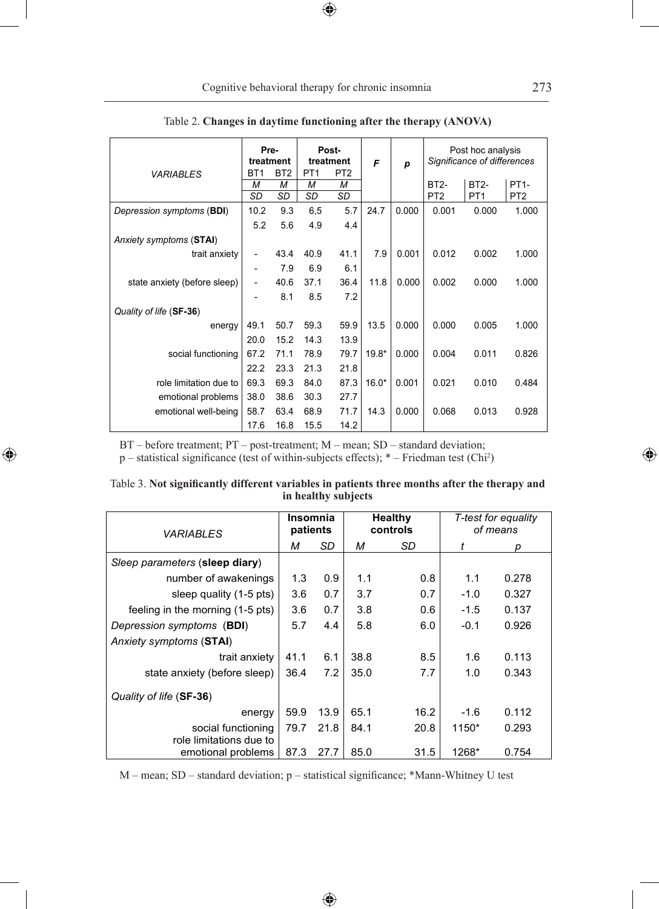|                              | Pre-<br>treatment            |                 | Post-<br>treatment |                 | F       | p     | Post hoc analysis<br>Significance of differences |                   |                   |
|------------------------------|------------------------------|-----------------|--------------------|-----------------|---------|-------|--------------------------------------------------|-------------------|-------------------|
| <b>VARIABLES</b>             | BT <sub>1</sub>              | BT <sub>2</sub> | PT <sub>1</sub>    | PT <sub>2</sub> |         |       |                                                  |                   |                   |
|                              | М                            | M               | М                  | M               |         |       | <b>BT2-</b>                                      | BT <sub>2</sub> - | PT <sub>1</sub> - |
|                              | <b>SD</b>                    | <b>SD</b>       | SD                 | <b>SD</b>       |         |       | PT <sub>2</sub>                                  | PT <sub>1</sub>   | PT <sub>2</sub>   |
| Depression symptoms (BDI)    | 10.2                         | 9.3             | 6,5                | 5.7             | 24.7    | 0.000 | 0.001                                            | 0.000             | 1.000             |
|                              | 5.2                          | 5.6             | 4.9                | 4.4             |         |       |                                                  |                   |                   |
| Anxiety symptoms (STAI)      |                              |                 |                    |                 |         |       |                                                  |                   |                   |
| trait anxiety                | $\qquad \qquad \blacksquare$ | 43.4            | 40.9               | 41.1            | 7.9     | 0.001 | 0.012                                            | 0.002             | 1.000             |
|                              | ۰                            | 7.9             | 6.9                | 6.1             |         |       |                                                  |                   |                   |
| state anxiety (before sleep) | $\overline{\phantom{m}}$     | 40.6            | 37.1               | 36.4            | 11.8    | 0.000 | 0.002                                            | 0.000             | 1.000             |
|                              |                              | 8.1             | 8.5                | 7.2             |         |       |                                                  |                   |                   |
| Quality of life (SF-36)      |                              |                 |                    |                 |         |       |                                                  |                   |                   |
| energy                       | 49.1                         | 50.7            | 59.3               | 59.9            | 13.5    | 0.000 | 0.000                                            | 0.005             | 1.000             |
|                              | 20.0                         | 15.2            | 14.3               | 13.9            |         |       |                                                  |                   |                   |
| social functioning           | 67.2                         | 71.1            | 78.9               | 79.7            | $19.8*$ | 0.000 | 0.004                                            | 0.011             | 0.826             |
|                              | 22.2                         | 23.3            | 21.3               | 21.8            |         |       |                                                  |                   |                   |
| role limitation due to       | 69.3                         | 69.3            | 84.0               | 87.3            | $16.0*$ | 0.001 | 0.021                                            | 0.010             | 0.484             |
| emotional problems           | 38.0                         | 38.6            | 30.3               | 27.7            |         |       |                                                  |                   |                   |
| emotional well-being         | 58.7                         | 63.4            | 68.9               | 71.7            | 14.3    | 0.000 | 0.068                                            | 0.013             | 0.928             |
|                              | 17.6                         | 16.8            | 15.5               | 14.2            |         |       |                                                  |                   |                   |

|  |  |  | Table 2. Changes in daytime functioning after the therapy (ANOVA) |  |  |  |  |
|--|--|--|-------------------------------------------------------------------|--|--|--|--|
|--|--|--|-------------------------------------------------------------------|--|--|--|--|

 $\bigoplus$ 

BT – before treatment; PT – post-treatment; M – mean; SD – standard deviation;

 $\bigoplus$ 

p – statistical significance (test of within-subjects effects); \* – Friedman test (Chi<sup>2</sup> )

| Table 3. Not significantly different variables in patients three months after the therapy and | in healthy subjects |                |                     |
|-----------------------------------------------------------------------------------------------|---------------------|----------------|---------------------|
|                                                                                               | Insomnia            | <b>Healthy</b> | T-test for equality |

| <i><b>VARIABLES</b></i>                       | ınsomnıa<br>patients |      | mealthy<br>controls |      | <i>I</i> -test for equality<br>of means |       |
|-----------------------------------------------|----------------------|------|---------------------|------|-----------------------------------------|-------|
|                                               |                      | SD   | М                   | SD   | t                                       | р     |
| Sleep parameters (sleep diary)                |                      |      |                     |      |                                         |       |
| number of awakenings                          | 1.3                  | 0.9  | 1.1                 | 0.8  | 1.1                                     | 0.278 |
| sleep quality (1-5 pts)                       |                      | 0.7  | 3.7                 | 0.7  | $-1.0$                                  | 0.327 |
| feeling in the morning (1-5 pts)              | 3.6                  | 0.7  | 3.8                 | 0.6  | $-1.5$                                  | 0.137 |
| Depression symptoms (BDI)                     | 5.7                  | 4.4  | 5.8                 | 6.0  | $-0.1$                                  | 0.926 |
| Anxiety symptoms (STAI)                       |                      |      |                     |      |                                         |       |
| trait anxiety                                 | 41.1                 | 6.1  | 38.8                | 8.5  | 1.6                                     | 0.113 |
| state anxiety (before sleep)                  | 36.4                 | 7.2  | 35.0                | 7.7  | 1.0                                     | 0.343 |
| Quality of life (SF-36)                       |                      |      |                     |      |                                         |       |
| energy                                        | 59.9                 | 13.9 | 65.1                | 16.2 | $-1.6$                                  | 0.112 |
| social functioning<br>role limitations due to | 79.7                 | 21.8 | 84.1                | 20.8 | 1150*                                   | 0.293 |
| emotional problems                            | 87.3                 | 27.7 | 85.0                | 31.5 | 1268*                                   | 0.754 |

M – mean; SD – standard deviation; p – statistical significance; \*Mann-Whitney U test

 $\bigoplus$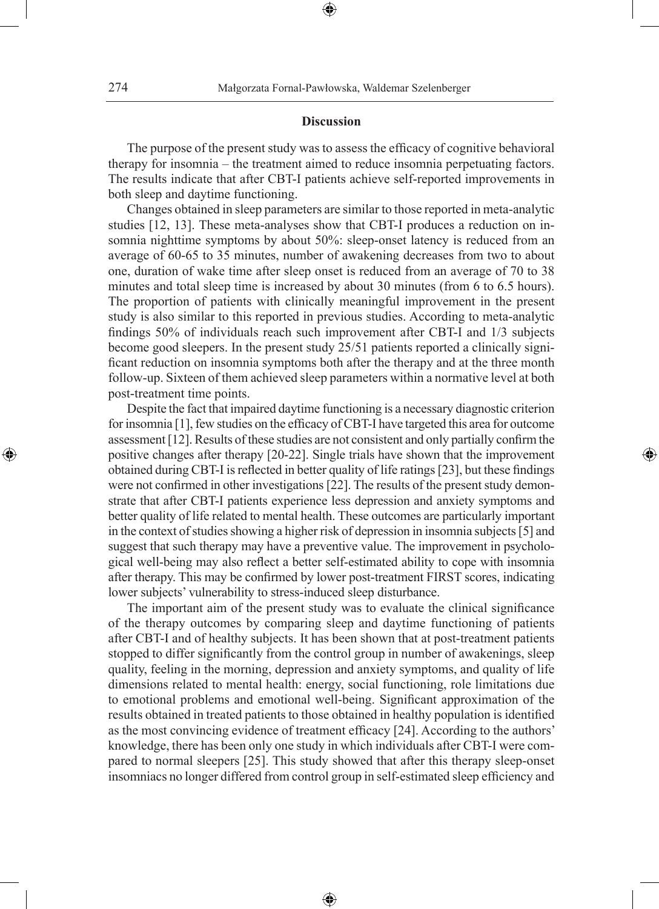# **Discussion**

⊕

The purpose of the present study was to assess the efficacy of cognitive behavioral therapy for insomnia – the treatment aimed to reduce insomnia perpetuating factors. The results indicate that after CBT-I patients achieve self-reported improvements in both sleep and daytime functioning.

Changes obtained in sleep parameters are similar to those reported in meta-analytic studies [12, 13]. These meta-analyses show that CBT-I produces a reduction on insomnia nighttime symptoms by about 50%: sleep-onset latency is reduced from an average of 60-65 to 35 minutes, number of awakening decreases from two to about one, duration of wake time after sleep onset is reduced from an average of 70 to 38 minutes and total sleep time is increased by about 30 minutes (from 6 to 6.5 hours). The proportion of patients with clinically meaningful improvement in the present study is also similar to this reported in previous studies. According to meta-analytic findings 50% of individuals reach such improvement after CBT-I and 1/3 subjects become good sleepers. In the present study 25/51 patients reported a clinically significant reduction on insomnia symptoms both after the therapy and at the three month follow-up. Sixteen of them achieved sleep parameters within a normative level at both post-treatment time points.

Despite the fact that impaired daytime functioning is a necessary diagnostic criterion for insomnia [1], few studies on the efficacy of CBT-I have targeted this area for outcome assessment [12]. Results of these studies are not consistent and only partially confirm the positive changes after therapy [20-22]. Single trials have shown that the improvement obtained during CBT-I is reflected in better quality of life ratings [23], but these findings were not confirmed in other investigations [22]. The results of the present study demonstrate that after CBT-I patients experience less depression and anxiety symptoms and better quality of life related to mental health. These outcomes are particularly important in the context of studies showing a higher risk of depression in insomnia subjects [5] and suggest that such therapy may have a preventive value. The improvement in psychological well-being may also reflect a better self-estimated ability to cope with insomnia after therapy. This may be confirmed by lower post-treatment FIRST scores, indicating lower subjects' vulnerability to stress-induced sleep disturbance.

◈

The important aim of the present study was to evaluate the clinical significance of the therapy outcomes by comparing sleep and daytime functioning of patients after CBT-I and of healthy subjects. It has been shown that at post-treatment patients stopped to differ significantly from the control group in number of awakenings, sleep quality, feeling in the morning, depression and anxiety symptoms, and quality of life dimensions related to mental health: energy, social functioning, role limitations due to emotional problems and emotional well-being. Significant approximation of the results obtained in treated patients to those obtained in healthy population is identified as the most convincing evidence of treatment efficacy [24]. According to the authors' knowledge, there has been only one study in which individuals after CBT-I were compared to normal sleepers [25]. This study showed that after this therapy sleep-onset insomniacs no longer differed from control group in self-estimated sleep efficiency and

⊕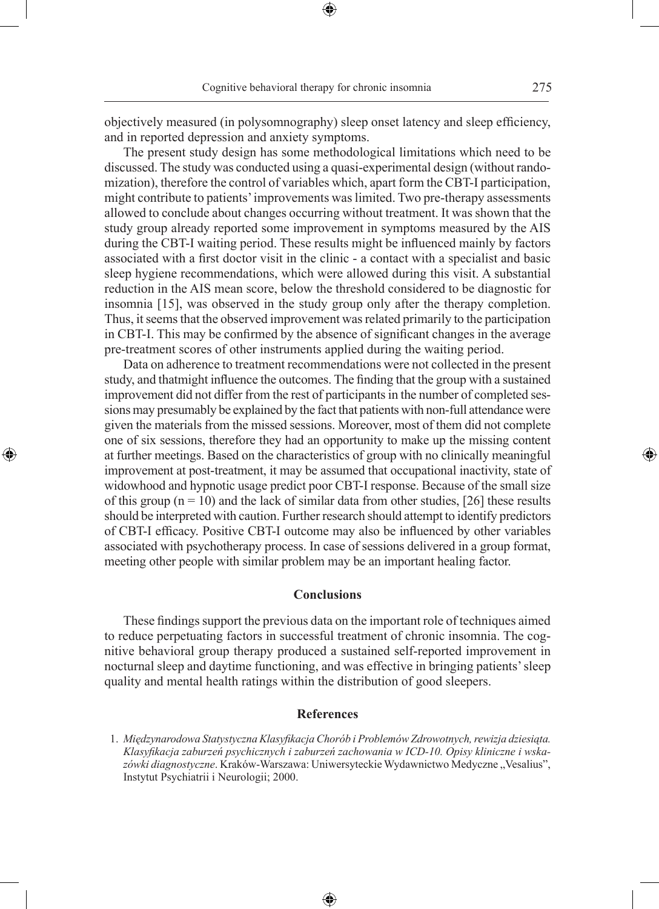objectively measured (in polysomnography) sleep onset latency and sleep efficiency, and in reported depression and anxiety symptoms.

The present study design has some methodological limitations which need to be discussed. The study was conducted using a quasi-experimental design (without randomization), therefore the control of variables which, apart form the CBT-I participation, might contribute to patients' improvements was limited. Two pre-therapy assessments allowed to conclude about changes occurring without treatment. It was shown that the study group already reported some improvement in symptoms measured by the AIS during the CBT-I waiting period. These results might be influenced mainly by factors associated with a first doctor visit in the clinic - a contact with a specialist and basic sleep hygiene recommendations, which were allowed during this visit. A substantial reduction in the AIS mean score, below the threshold considered to be diagnostic for insomnia [15], was observed in the study group only after the therapy completion. Thus, it seems that the observed improvement was related primarily to the participation in CBT-I. This may be confirmed by the absence of significant changes in the average pre-treatment scores of other instruments applied during the waiting period.

Data on adherence to treatment recommendations were not collected in the present study, and thatmight influence the outcomes. The finding that the group with a sustained improvement did not differ from the rest of participants in the number of completed sessions may presumably be explained by the fact that patients with non-full attendance were given the materials from the missed sessions. Moreover, most of them did not complete one of six sessions, therefore they had an opportunity to make up the missing content at further meetings. Based on the characteristics of group with no clinically meaningful improvement at post-treatment, it may be assumed that occupational inactivity, state of widowhood and hypnotic usage predict poor CBT-I response. Because of the small size of this group ( $n = 10$ ) and the lack of similar data from other studies, [26] these results should be interpreted with caution. Further research should attempt to identify predictors of CBT-I efficacy. Positive CBT-I outcome may also be influenced by other variables associated with psychotherapy process. In case of sessions delivered in a group format, meeting other people with similar problem may be an important healing factor.

◈

## **Conclusions**

These findings support the previous data on the important role of techniques aimed to reduce perpetuating factors in successful treatment of chronic insomnia. The cognitive behavioral group therapy produced a sustained self-reported improvement in nocturnal sleep and daytime functioning, and was effective in bringing patients' sleep quality and mental health ratings within the distribution of good sleepers.

#### **References**

⊕

 <sup>1.</sup> *Międzynarodowa Statystyczna Klasyfikacja Chorób i Problemów Zdrowotnych, rewizja dziesiąta. Klasyfikacja zaburzeń psychicznych i zaburzeń zachowania w ICD-10. Opisy kliniczne i wska*zówki diagnostyczne. Kraków-Warszawa: Uniwersyteckie Wydawnictwo Medyczne "Vesalius", Instytut Psychiatrii i Neurologii; 2000.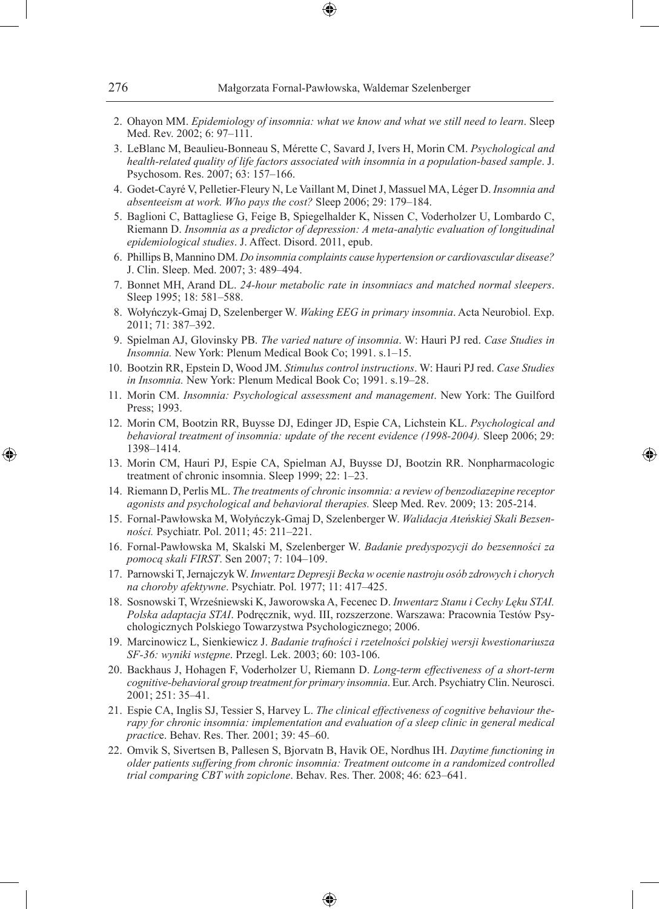- 2. Ohayon MM. *Epidemiology of insomnia: what we know and what we still need to learn*. Sleep Med. Rev. 2002; 6: 97–111.
- 3. LeBlanc M, Beaulieu-Bonneau S, Mérette C, Savard J, Ivers H, Morin CM. *Psychological and health-related quality of life factors associated with insomnia in a population-based sample*. J. Psychosom. Res. 2007; 63: 157–166.
- 4. Godet-Cayré V, Pelletier-Fleury N, Le Vaillant M, Dinet J, Massuel MA, Léger D. *Insomnia and absenteeism at work. Who pays the cost?* Sleep 2006; 29: 179–184.
- 5. Baglioni C, Battagliese G, Feige B, Spiegelhalder K, Nissen C, Voderholzer U, Lombardo C, Riemann D. *Insomnia as a predictor of depression: A meta-analytic evaluation of longitudinal epidemiological studies*. J. Affect. Disord. 2011, epub.
- 6. Phillips B, Mannino DM. *Do insomnia complaints cause hypertension or cardiovascular disease?*  J. Clin. Sleep. Med. 2007; 3: 489–494.
- 7. Bonnet MH, Arand DL. *24-hour metabolic rate in insomniacs and matched normal sleepers*. Sleep 1995; 18: 581–588.
- 8. Wołyńczyk-Gmaj D, Szelenberger W. *Waking EEG in primary insomnia*. Acta Neurobiol. Exp. 2011; 71: 387–392.
- 9. Spielman AJ, Glovinsky PB. *The varied nature of insomnia*. W: Hauri PJ red. *Case Studies in Insomnia.* New York: Plenum Medical Book Co; 1991. s.1–15.
- 10. Bootzin RR, Epstein D, Wood JM. *Stimulus control instructions*. W: Hauri PJ red. *Case Studies in Insomnia.* New York: Plenum Medical Book Co; 1991. s.19–28.
- 11. Morin CM. *Insomnia: Psychological assessment and management*. New York: The Guilford Press; 1993.
- 12. Morin CM, Bootzin RR, Buysse DJ, Edinger JD, Espie CA, Lichstein KL. *Psychological and behavioral treatment of insomnia: update of the recent evidence (1998-2004).* Sleep 2006; 29: 1398–1414.
- 13. Morin CM, Hauri PJ, Espie CA, Spielman AJ, Buysse DJ, Bootzin RR. Nonpharmacologic treatment of chronic insomnia. Sleep 1999; 22: 1–23.

◈

- 14. Riemann D, Perlis ML. *The treatments of chronic insomnia: a review of benzodiazepine receptor agonists and psychological and behavioral therapies.* Sleep Med. Rev. 2009; 13: 205-214.
- 15. Fornal-Pawłowska M, Wołyńczyk-Gmaj D, Szelenberger W. *Walidacja Ateńskiej Skali Bezsenności.* Psychiatr. Pol. 2011; 45: 211–221.
- 16. Fornal-Pawłowska M, Skalski M, Szelenberger W. *Badanie predyspozycji do bezsenności za pomocą skali FIRST*. Sen 2007; 7: 104–109.
- 17. Parnowski T, Jernajczyk W. *Inwentarz Depresji Becka w ocenie nastroju osób zdrowych i chorych na choroby afektywne*. Psychiatr. Pol. 1977; 11: 417–425.
- 18. Sosnowski T, Wrześniewski K, Jaworowska A, Fecenec D. *Inwentarz Stanu i Cechy Lęku STAI. Polska adaptacja STAI*. Podręcznik, wyd. III, rozszerzone. Warszawa: Pracownia Testów Psychologicznych Polskiego Towarzystwa Psychologicznego; 2006.
- 19. Marcinowicz L, Sienkiewicz J. *Badanie trafności i rzetelności polskiej wersji kwestionariusza SF-36: wyniki wstępne*. Przegl. Lek. 2003; 60: 103-106.
- 20. Backhaus J, Hohagen F, Voderholzer U, Riemann D. *Long-term effectiveness of a short-term cognitive-behavioral group treatment for primary insomnia*. Eur. Arch. Psychiatry Clin. Neurosci. 2001; 251: 35–41.
- 21. Espie CA, Inglis SJ, Tessier S, Harvey L. *The clinical effectiveness of cognitive behaviour therapy for chronic insomnia: implementation and evaluation of a sleep clinic in general medical practic*e. Behav. Res. Ther. 2001; 39: 45–60.
- 22. Omvik S, Sivertsen B, Pallesen S, Bjorvatn B, Havik OE, Nordhus IH. *Daytime functioning in older patients suffering from chronic insomnia: Treatment outcome in a randomized controlled trial comparing CBT with zopiclone*. Behav. Res. Ther. 2008; 46: 623–641.

♠